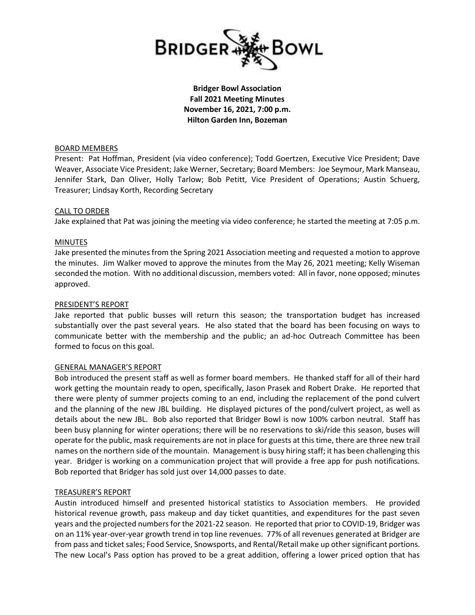

**Bridger Bowl Association Fall 2021 Meeting Minutes November 16, 2021, 7:00 p.m. Hilton Garden Inn, Bozeman**

### BOARD MEMBERS

Present: Pat Hoffman, President (via video conference); Todd Goertzen, Executive Vice President; Dave Weaver, Associate Vice President; Jake Werner, Secretary; Board Members: Joe Seymour, Mark Manseau, Jennifer Stark, Dan Oliver, Holly Tarlow; Bob Petitt, Vice President of Operations; Austin Schuerg, Treasurer; Lindsay Korth, Recording Secretary

### CALL TO ORDER

Jake explained that Pat was joining the meeting via video conference; he started the meeting at 7:05 p.m.

### MINUTES

Jake presented the minutes from the Spring 2021 Association meeting and requested a motion to approve the minutes. Jim Walker moved to approve the minutes from the May 26, 2021 meeting; Kelly Wiseman seconded the motion. With no additional discussion, members voted: All in favor, none opposed; minutes approved.

### PRESIDENT'S REPORT

Jake reported that public busses will return this season; the transportation budget has increased substantially over the past several years. He also stated that the board has been focusing on ways to communicate better with the membership and the public; an ad-hoc Outreach Committee has been formed to focus on this goal.

## GENERAL MANAGER'S REPORT

Bob introduced the present staff as well as former board members. He thanked staff for all of their hard work getting the mountain ready to open, specifically, Jason Prasek and Robert Drake. He reported that there were plenty of summer projects coming to an end, including the replacement of the pond culvert and the planning of the new JBL building. He displayed pictures of the pond/culvert project, as well as details about the new JBL. Bob also reported that Bridger Bowl is now 100% carbon neutral. Staff has been busy planning for winter operations; there will be no reservations to ski/ride this season, buses will operate for the public, mask requirements are not in place for guests at this time, there are three new trail names on the northern side of the mountain. Management is busy hiring staff; it has been challenging this year. Bridger is working on a communication project that will provide a free app for push notifications. Bob reported that Bridger has sold just over 14,000 passes to date.

#### TREASURER'S REPORT

Austin introduced himself and presented historical statistics to Association members. He provided historical revenue growth, pass makeup and day ticket quantities, and expenditures for the past seven years and the projected numbers for the 2021-22 season. He reported that prior to COVID-19, Bridger was on an 11% year-over-year growth trend in top line revenues. 77% of all revenues generated at Bridger are from pass and ticket sales; Food Service, Snowsports, and Rental/Retail make up other significant portions. The new Local's Pass option has proved to be a great addition, offering a lower priced option that has